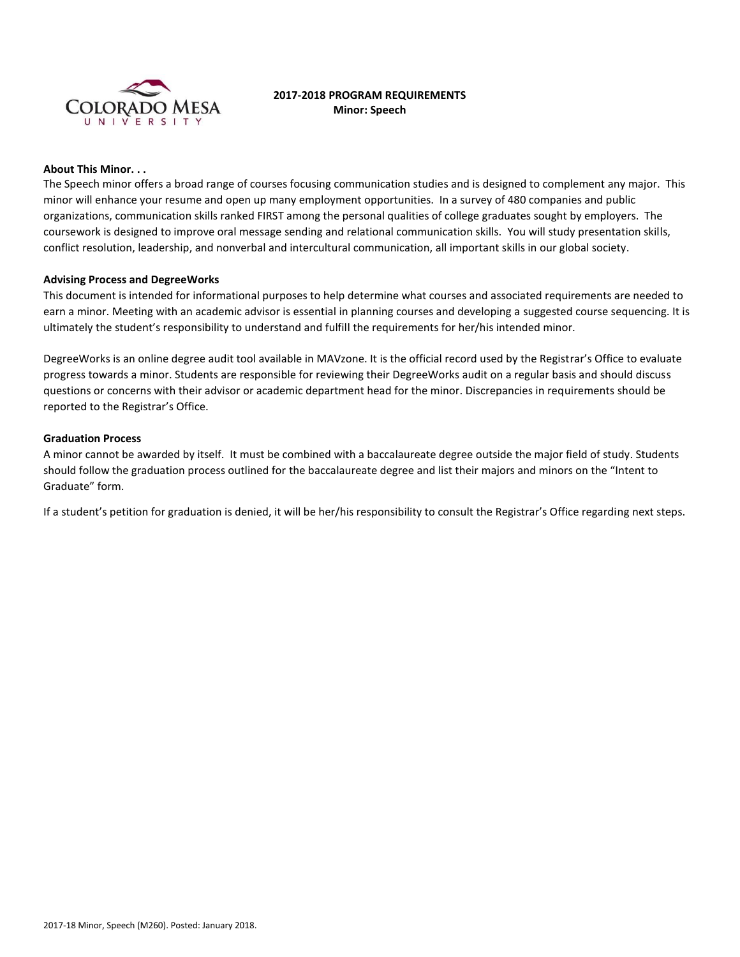

# **2017-2018 PROGRAM REQUIREMENTS Minor: Speech**

### **About This Minor. . .**

The Speech minor offers a broad range of courses focusing communication studies and is designed to complement any major. This minor will enhance your resume and open up many employment opportunities. In a survey of 480 companies and public organizations, communication skills ranked FIRST among the personal qualities of college graduates sought by employers. The coursework is designed to improve oral message sending and relational communication skills. You will study presentation skills, conflict resolution, leadership, and nonverbal and intercultural communication, all important skills in our global society.

### **Advising Process and DegreeWorks**

This document is intended for informational purposes to help determine what courses and associated requirements are needed to earn a minor. Meeting with an academic advisor is essential in planning courses and developing a suggested course sequencing. It is ultimately the student's responsibility to understand and fulfill the requirements for her/his intended minor.

DegreeWorks is an online degree audit tool available in MAVzone. It is the official record used by the Registrar's Office to evaluate progress towards a minor. Students are responsible for reviewing their DegreeWorks audit on a regular basis and should discuss questions or concerns with their advisor or academic department head for the minor. Discrepancies in requirements should be reported to the Registrar's Office.

#### **Graduation Process**

A minor cannot be awarded by itself. It must be combined with a baccalaureate degree outside the major field of study. Students should follow the graduation process outlined for the baccalaureate degree and list their majors and minors on the "Intent to Graduate" form.

If a student's petition for graduation is denied, it will be her/his responsibility to consult the Registrar's Office regarding next steps.